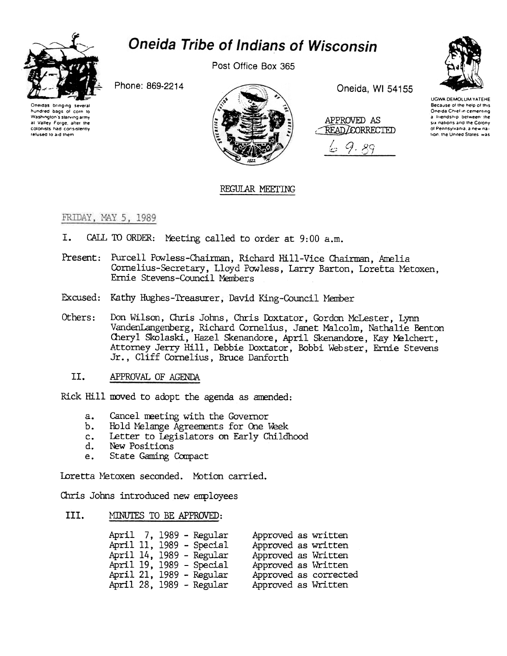

# **Oneida Tribe of Indians of Wisconsin**

Post Office Box 365

Phone: 869-2214





Oneida, WI 54155

APPROVED AS READ/CORRECTED

9.89 ختانئ



**UGWA DEMOLUM YATEHE** Because of the help of this Oneida Chief in cementing a Iriendship between the six nations and the Colony ol Pennsylvania, a new nation, the United States, was

# REGULAR MEETING

# FRIDAY, MAY 5, 1989

- CALL TO ORDER: Meeting called to order at 9:00 a.m. I.
- Present: Purcell Powless-Chairman, Richard Hill-Vice Chairman, Amelia Cornelius-Secretary, Lloyd Powless, Larry Barton, Loretta Metoxen. Ernie Stevens-Council Members
- Excused: Kathy Hughes-Treasurer, David King-Council Member
- Don Wilson, Chris Johns, Chris Doxtator, Gordon McLester, Lynn Others: VandenLangenberg, Richard Cornelius, Janet Malcolm, Nathalie Benton Cheryl Skolaski, Hazel Skenandore, April Skenandore, Kay Melchert, Attorney Jerry Hill, Debbie Doxtator, Bobbi Webster, Ernie Stevens Jr., Cliff Cornelius, Bruce Danforth
	- TT. APPROVAL OF AGENDA

Rick Hill moved to adopt the agenda as amended:

- Cancel meeting with the Governor  $a_{\bullet}$
- b. Hold Melange Agreements for One Week
- Letter to Legislators on Early Childhood  $c_{\bullet}$
- d. New Positions
- State Gaming Compact e.

Loretta Metoxen seconded. Motion carried.

Chris Johns introduced new employees

#### III. MINUTES TO BE APPROVED:

| April 7, 1989 - Regular  | Approved as written   |
|--------------------------|-----------------------|
| April 11, 1989 - Special | Approved as written   |
| April 14, 1989 - Regular | Approved as Written   |
| April 19, 1989 - Special | Approved as Written   |
| April 21, 1989 - Regular | Approved as corrected |
| April 28, 1989 - Regular | Approved as Written   |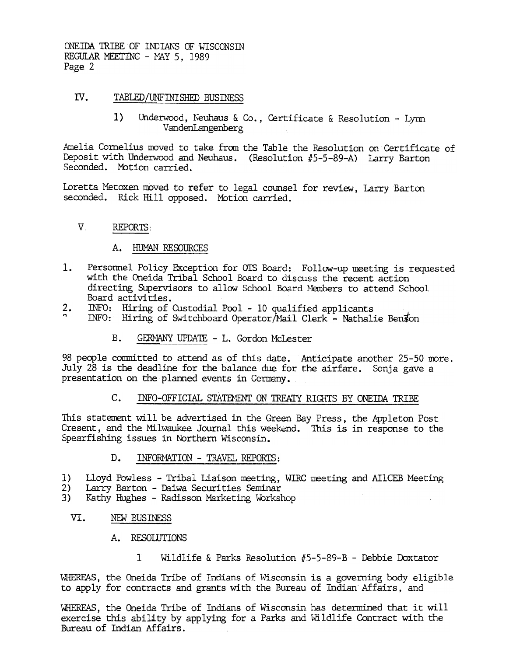ONEIDA TRIBE OF INDIANS OF WISCONSIN REGULAR MEETING - MAY 5, 1989 Page 2

#### IV. TABLED/UNFINISHED BUSINESS

Underwood, Neuhaus & Co., Certificate & Resolution - Lynn  $1)$ VandenLangenberg

Amelia Cornelius moved to take from the Table the Resolution on Certificate of Deposit with Underwood and Neuhaus. (Resolution #5-5-89-A) Larry Barton Seconded. Motion carried.

Loretta Metoxen moved to refer to legal counsel for review, Larry Barton seconded. Rick Hill opposed. Motion carried.

#### $V_{\perp}$ REPORTS:

# A. HUMAN RESOURCES

- Personnel Policy Exception for OTS Board: Follow-up meeting is requested 1. with the Oneida Tribal School Board to discuss the recent action directing Supervisors to allow School Board Members to attend School Board activities.
- $\frac{2}{2}$ . INFO: Hiring of Custodial Pool - 10 qualified applicants
- INFO: Hiring of Switchboard Operator/Mail Clerk Nathalie Benson
	- $B<sub>1</sub>$ GERMANY UPDATE - L. Gordon McLester

98 people committed to attend as of this date. Anticipate another 25-50 more. July 28 is the deadline for the balance due for the airfare. Sonja gave a presentation on the planned events in Germany.

#### $C_{\star}$ INFO-OFFICIAL STATEMENT ON TREATY RIGHTS BY ONEIDA TRIBE

This statement will be advertised in the Green Bay Press, the Appleton Post Cresent, and the Milwaukee Journal this weekend. This is in response to the Spearfishing issues in Northern Wisconsin.

- $D<sub>z</sub>$ INFORMATION - TRAVEL REPORTS:
- $1)$ Lloyd Powless - Tribal Liaison meeting, WIRC meeting and AIICEB Meeting
- Larry Barton Daiwa Securities Seminar  $2)$
- $3)$ Kathy Hughes - Radisson Marketing Workshop
	- VI. NEW BUSINESS
		- A. RESOLUTIONS
			- Wildlife & Parks Resolution  $#5-5-89-B$  Debbie Doxtator  $\mathbf{T}$

WHEREAS, the Oneida Tribe of Indians of Wisconsin is a governing body eligible to apply for contracts and grants with the Bureau of Indian Affairs, and

WHEREAS, the Oneida Tribe of Indians of Wisconsin has determined that it will exercise this ability by applying for a Parks and Wildlife Contract with the Bureau of Indian Affairs.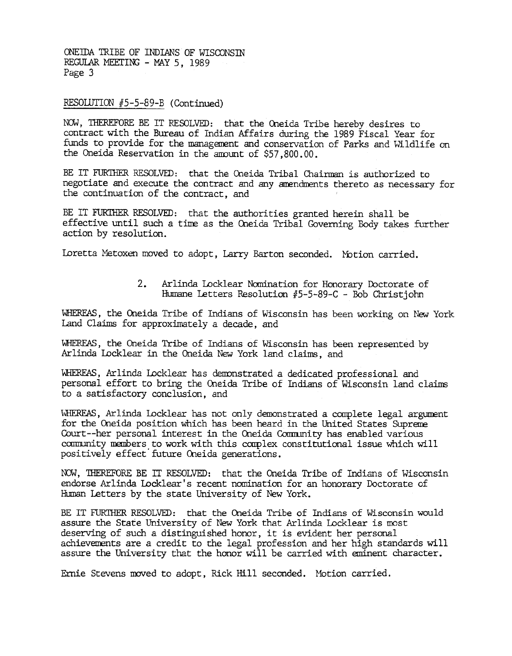ONEIDA TRIBE OF INDIANS OF WISCONSIN REGULAR MEETING - MAY 5, 1989 Page 3

## RESOLUTION  $#5-5-89-B$  (Continued)

NOW, THEREFORE BE IT RESOLVED: that the Oneida Tribe hereby desires to contract with the Bureau of Indian Affairs during the 1989 Fiscal Year for funds to provide for the management and conservation of Parks and Wildlife on the Oneida Reservation in the amount of \$57,800.00.

BE IT FURTHER RESOLVED: that the Oneida Tribal Chairman is authorized to negotiate and execute the contract and any amendments thereto as necessary for the continuation of the contract, and

BE IT FURTHER RESOLVED: that the authorities granted herein shall be effective until such a time as the Oneida Tribal Governing Body takes further action by resolution.

Ioretta Metoxen moved to adopt, Larry Barton seconded. Motion carried.

2. Arlinda Locklear Nomination for Honorary Doctorate of Humane Letters Resolution  $#5-5-89-C$  - Bob Christjohn

WHEREAS, the Oneida Tribe of Indians of Wisconsin has been working on New York Land Claims for approximately a decade, and

WHEREAS, the Oneida Tribe of Indians of Wisconsin has been represented by Arlinda Locklear in the Oneida New York land claims, and

WHEREAS, Arlinda Locklear has demonstrated a dedicated professional and personal effort to bring the Oneida Tribe of Indians of Wisconsin land claims to a satisfactory conclusion, and

WHEREAS, Arlinda Locklear has not only demonstrated a complete legal argument for the Oneida position which has been heard in the United States Supreme Court--her personal interest in the Oneida Community has enabled various community members to work with this complex constitutional issue which will positively effect' future Oneida generations.

NOW. 'lHEREFORE BE IT RESOLVED: that the Oneida Tribe of Indians of Wisconsin endorse Arlinda Locklear's recent nomination for an honorary Doctorate of Human Letters by the state University of New York.

BE IT FURTHER RESOLVED: that the Oneida Tribe of Indians of Wisconsin would assure the State University of New York that Arlinda Locklear is most deserving of sudh a distinguished honor, it is evident her personal adhievements are a credit to the legal profession and her high standards will assure the University that the honor will be carried with eminent character.

Ernie Stevens moved to adopt, Rick Hill seconded. Motion carried.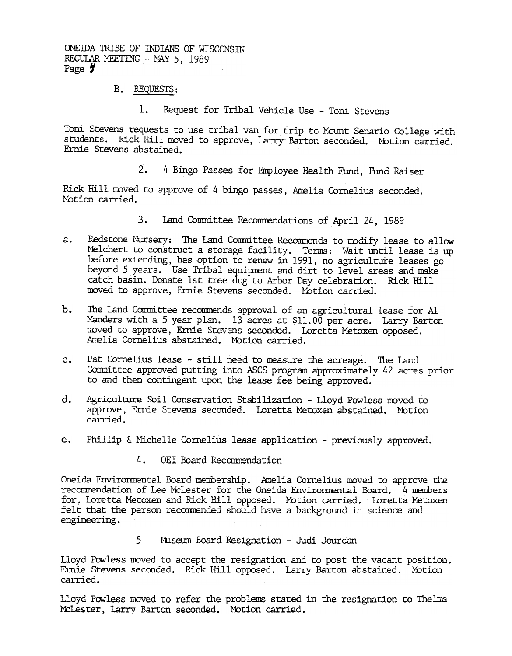ONE IDA TRIBE OF INDIANS OF WISCONSTN REGULAR MEETING - MAY 5, 1989 Page  $\sharp$ 

- B. REQUESTS:
	-

Toni Stevens requests to use tribal van for trip to Mount Senario College with students. Rick Hill moved to approve, Larry Barton seconded. Motion carried. Ernie Stevens abstained.

4 Bingo Passes for Employee Health Fund, FUnd Raiser

Rick Hill moved to approve of 4 bingo passes, Amelia Cornelius seconded. Motion carried.

- 
- The Figure 10. Repubblished Use Toni Stevens reduction the Resort for Tribal Vehicle Use Toni Stevens reductions. Rich Hill moved to spread to spread the Hill moved in Experimentation of the Hill moved of the Hill mov 3. Land Committee Recommendations of April 24, 1989<br>
2. Redstone Kursey: The Land Committee Recommends to modify least<br>priority of the Unit of the Committee Recommission of the principal properties of the<br>special beginner a. Redstore Nixray: The Land Committee Recommends to motify lease to all<br>other tius contribute a stockar formed in 1991, no agriculture leases are<br>before extending, has option to remed in 1991, no agriculture leases are<br>de Melchert to construct a storage facility. Terms: Wait until lease is up before extending, has option to renew in 1991, no agriculture leases go beyond 5 years. Use Tribal equipment and dirt to level areas and make catch basin. Donate 1st tree dug to Arbor Day celebration. Rick Hill moved to approve, Ernie Stevens seconded. Notion carried.
	- Manders with a 5 year plan. 13 acres at \$11.00 per acre. Larry Barton roved to approve, Ernie Stevens seconded. I.oretta Metoxen opposed, Amelia Cornelius abstained. Mbtion carried.
	- Committee approved putting into ASCS program approximately 42 acres prior to and then contingent upon the lease fee being approved.
	- d. Agriculture Soil Conservation Stabilization -Lloyd Powless moved to approve, Ernie Stevens seconded. Loretta Metoxen abstained. Motion
	- Phillip & Michelle Cornelius lease application previously approved.

## OEI Board Recommendation

b. The Land Committer recommends approval of an agricultural lease for AI moved to approve, Franciscon Seconded. Loretta Metoxen opposed, Arelia Cornelius abstained. Motion carried.<br>
C. Fat Cornelius lease - still need to c. Fat Cornelius lease - still need to measure the acreage. The Land Committee approved putting into ASCS program approximately 42 acre<br>to and then contingent upon the lease fee being approved.<br>d. Agriculture Soil Conserva Oneida Environmental Board membership. Amelia Cornelius moved to approve the recommendation of Lee McLester for the Oneida Environmental Board. 4 members for, Loretta Metoxen and Rick Hill opposed. Motion carried. Loretta Metoxen felt that the person recommended should have a background in science and

5 Museum Board Resignation - Judi Jourdan

Lloyd Powless moved to accept the resignation and to post the vacant position. Ernie Stevens seconded. Rick Hill opposed. Larry Barton abstained. Motion carried.

Lloyd Powless moved to refer the problems stated in the resignation to Thelma McLester, Larry Barton seconded. Motion carried.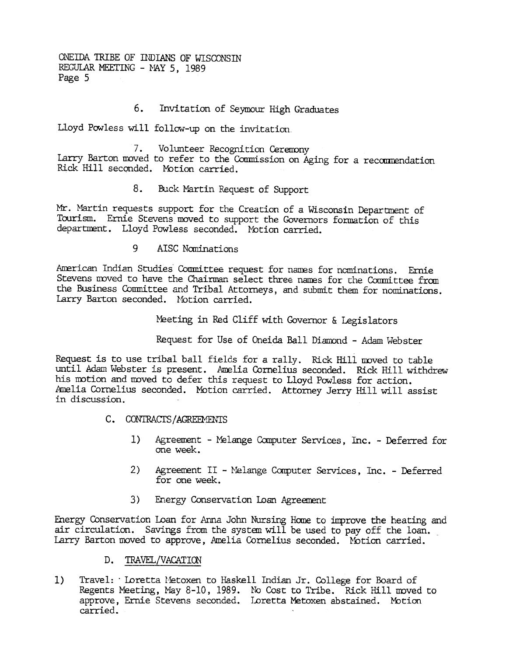ONEIDA TRIBE OF INDIANS OF WISCONSIN REGULAR MEETING - MAY 5, 1989 Page 5

#### 6. Invitation of Seymour High Graduates

Lloyd Powless will follow-up on the invitation.

 $7.$ Volunteer Recognition Ceremony Larry Barton moved to refer to the Commission on Aging for a recommendation Rick Hill seconded. Motion carried.

> $8<sub>z</sub>$ Buck Martin Request of Support

Mr. Martin requests support for the Creation of a Wisconsin Department of Tourism. Ernie Stevens moved to support the Governors formation of this department. Lloyd Powless seconded. Motion carried.

> q. AISC Nominations

American Indian Studies Committee request for names for nominations. Ernie Stevens moved to have the Chairman select three names for the Committee from the Business Committee and Tribal Attorneys, and submit them for nominations. Larry Barton seconded. Motion carried.

Meeting in Red Cliff with Governor & Legislators

Request for Use of Oneida Ball Diamond - Adam Webster

Request is to use tribal ball fields for a rally. Rick Hill moved to table until Adam Webster is present. Amelia Cornelius seconded. Rick Hill withdrew his motion and moved to defer this request to Lloyd Powless for action. Amelia Cornelius seconded. Motion carried. Attorney Jerry Hill will assist in discussion.

- C. CONTRACTS/AGREEMENTS
	- $1)$ Agreement - Melange Computer Services, Inc. - Deferred for one week.
	- $2)$ Agreement II - Melange Computer Services, Inc. - Deferred for one week.
	- $3)$ Energy Conservation Loan Agreement

Energy Conservation Loan for Anna John Nursing Home to improve the heating and air circulation. Savings from the system will be used to pay off the loan. Larry Barton moved to approve, Amelia Cornelius seconded. Motion carried.

- D. TRAVEL/VACATION
- $1)$ Travel: 'Loretta Metoxen to Haskell Indian Jr. College for Board of Regents Meeting, May 8-10, 1989. No Cost to Tribe. Rick Hill moved to approve, Ernie Stevens seconded. Loretta Metoxen abstained. Motion carried.